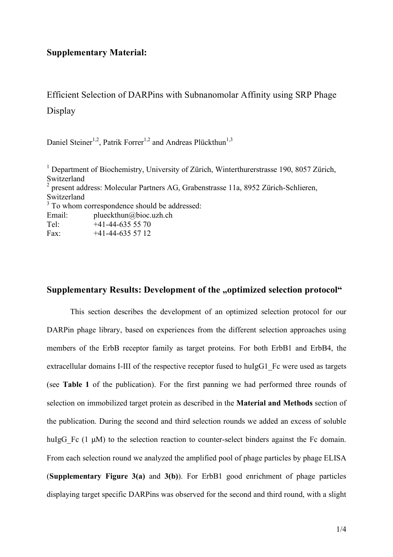## **Supplementary Material:**

Efficient Selection of DARPins with Subnanomolar Affinity using SRP Phage Display

Daniel Steiner<sup>1,2</sup>, Patrik Forrer<sup>1,2</sup> and Andreas Plückthun<sup>1,3</sup>

<sup>1</sup> Department of Biochemistry, University of Zürich, Winterthurerstrasse 190, 8057 Zürich, Switzerland 2 present address: Molecular Partners AG, Grabenstrasse 11a, 8952 Zürich-Schlieren, Switzerland <sup>3</sup> To whom correspondence should be addressed: Email: plueckthun@bioc.uzh.ch Tel: +41-44-635 55 70 Fax:  $+41-44-6355712$ 

## **Supplementary Results: Development of the "optimized selection protocol"**

This section describes the development of an optimized selection protocol for our DARPin phage library, based on experiences from the different selection approaches using members of the ErbB receptor family as target proteins. For both ErbB1 and ErbB4, the extracellular domains I-III of the respective receptor fused to huIgG1. Fc were used as targets (see **Table 1** of the publication). For the first panning we had performed three rounds of selection on immobilized target protein as described in the **Material and Methods** section of the publication. During the second and third selection rounds we added an excess of soluble huIgG Fc (1  $\mu$ M) to the selection reaction to counter-select binders against the Fc domain. From each selection round we analyzed the amplified pool of phage particles by phage ELISA (**Supplementary Figure 3(a)** and **3(b)**). For ErbB1 good enrichment of phage particles displaying target specific DARPins was observed for the second and third round, with a slight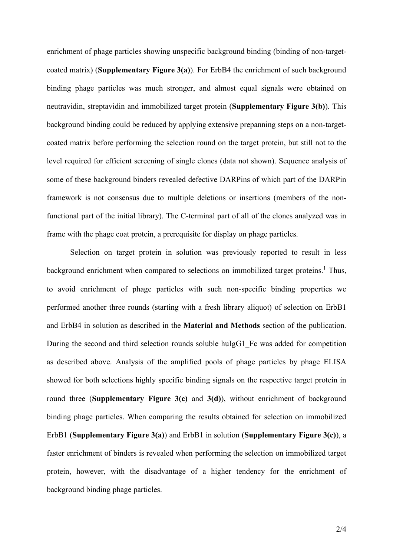enrichment of phage particles showing unspecific background binding (binding of non-targetcoated matrix) (**Supplementary Figure 3(a)**). For ErbB4 the enrichment of such background binding phage particles was much stronger, and almost equal signals were obtained on neutravidin, streptavidin and immobilized target protein (**Supplementary Figure 3(b)**). This background binding could be reduced by applying extensive prepanning steps on a non-targetcoated matrix before performing the selection round on the target protein, but still not to the level required for efficient screening of single clones (data not shown). Sequence analysis of some of these background binders revealed defective DARPins of which part of the DARPin framework is not consensus due to multiple deletions or insertions (members of the nonfunctional part of the initial library). The C-terminal part of all of the clones analyzed was in frame with the phage coat protein, a prerequisite for display on phage particles.

Selection on target protein in solution was previously reported to result in less background enrichment when compared to selections on immobilized target proteins.<sup>1</sup> Thus, to avoid enrichment of phage particles with such non-specific binding properties we performed another three rounds (starting with a fresh library aliquot) of selection on ErbB1 and ErbB4 in solution as described in the **Material and Methods** section of the publication. During the second and third selection rounds soluble huIgG1 Fc was added for competition as described above. Analysis of the amplified pools of phage particles by phage ELISA showed for both selections highly specific binding signals on the respective target protein in round three (**Supplementary Figure 3(c)** and **3(d)**), without enrichment of background binding phage particles. When comparing the results obtained for selection on immobilized ErbB1 (**Supplementary Figure 3(a)**) and ErbB1 in solution (**Supplementary Figure 3(c)**), a faster enrichment of binders is revealed when performing the selection on immobilized target protein, however, with the disadvantage of a higher tendency for the enrichment of background binding phage particles.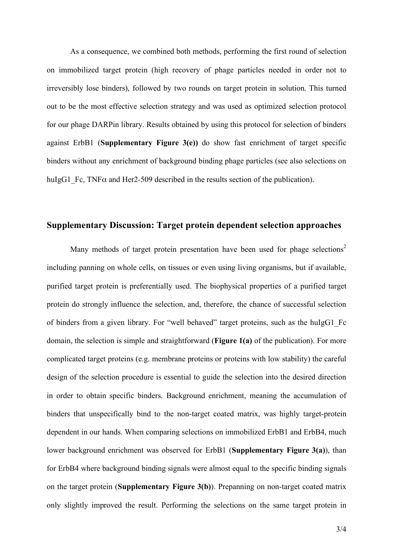As a consequence, we combined both methods, performing the first round of selection on immobilized target protein (high recovery of phage particles needed in order not to irreversibly lose binders), followed by two rounds on target protein in solution. This turned out to be the most effective selection strategy and was used as optimized selection protocol for our phage DARPin library. Results obtained by using this protocol for selection of binders against ErbB1 (**Supplementary Figure 3(e))** do show fast enrichment of target specific binders without any enrichment of background binding phage particles (see also selections on huIgG1 Fc, TNF $\alpha$  and Her2-509 described in the results section of the publication).

### **Supplementary Discussion: Target protein dependent selection approaches**

Many methods of target protein presentation have been used for phage selections<sup>2</sup> including panning on whole cells, on tissues or even using living organisms, but if available, purified target protein is preferentially used. The biophysical properties of a purified target protein do strongly influence the selection, and, therefore, the chance of successful selection of binders from a given library. For "well behaved" target proteins, such as the huIgG1\_Fc domain, the selection is simple and straightforward (**Figure 1(a)** of the publication). For more complicated target proteins (e.g. membrane proteins or proteins with low stability) the careful design of the selection procedure is essential to guide the selection into the desired direction in order to obtain specific binders. Background enrichment, meaning the accumulation of binders that unspecifically bind to the non-target coated matrix, was highly target-protein dependent in our hands. When comparing selections on immobilized ErbB1 and ErbB4, much lower background enrichment was observed for ErbB1 (**Supplementary Figure 3(a)**), than for ErbB4 where background binding signals were almost equal to the specific binding signals on the target protein (**Supplementary Figure 3(b)**). Prepanning on non-target coated matrix only slightly improved the result. Performing the selections on the same target protein in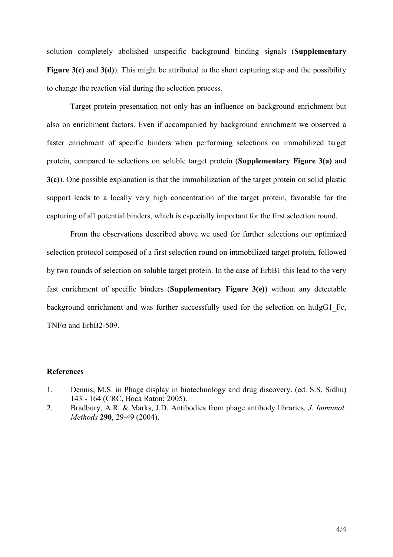solution completely abolished unspecific background binding signals (**Supplementary Figure 3(c)** and **3(d)**). This might be attributed to the short capturing step and the possibility to change the reaction vial during the selection process.

Target protein presentation not only has an influence on background enrichment but also on enrichment factors. Even if accompanied by background enrichment we observed a faster enrichment of specific binders when performing selections on immobilized target protein, compared to selections on soluble target protein (**Supplementary Figure 3(a)** and **3(c)**). One possible explanation is that the immobilization of the target protein on solid plastic support leads to a locally very high concentration of the target protein, favorable for the capturing of all potential binders, which is especially important for the first selection round.

From the observations described above we used for further selections our optimized selection protocol composed of a first selection round on immobilized target protein, followed by two rounds of selection on soluble target protein. In the case of ErbB1 this lead to the very fast enrichment of specific binders (**Supplementary Figure 3(e)**) without any detectable background enrichment and was further successfully used for the selection on huIgG1 Fc, TNFα and ErbB2-509.

#### **References**

- 1. Dennis, M.S. in Phage display in biotechnology and drug discovery. (ed. S.S. Sidhu) 143 - 164 (CRC, Boca Raton; 2005).
- 2. Bradbury, A.R. & Marks, J.D. Antibodies from phage antibody libraries. *J. Immunol. Methods* **290**, 29-49 (2004).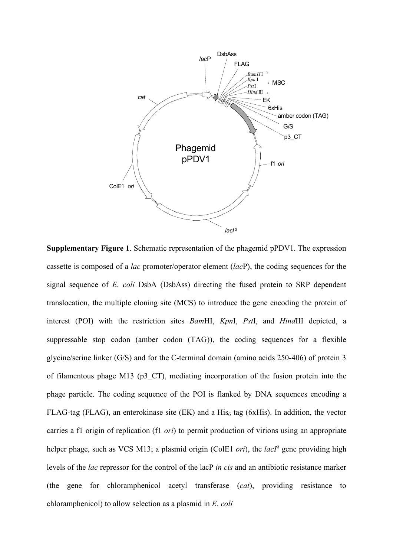

**Supplementary Figure 1**. Schematic representation of the phagemid pPDV1. The expression cassette is composed of a *lac* promoter/operator element (*lac*P), the coding sequences for the signal sequence of *E. coli* DsbA (DsbAss) directing the fused protein to SRP dependent translocation, the multiple cloning site (MCS) to introduce the gene encoding the protein of interest (POI) with the restriction sites *Bam*HI, *Kpn*I, *Pst*I, and *Hind*III depicted, a suppressable stop codon (amber codon (TAG)), the coding sequences for a flexible glycine/serine linker (G/S) and for the C-terminal domain (amino acids 250-406) of protein 3 of filamentous phage M13 (p3\_CT), mediating incorporation of the fusion protein into the phage particle. The coding sequence of the POI is flanked by DNA sequences encoding a FLAG-tag (FLAG), an enterokinase site (EK) and a  $His<sub>6</sub>$  tag (6xHis). In addition, the vector carries a f1 origin of replication (f1 *ori*) to permit production of virions using an appropriate helper phage, such as VCS M13; a plasmid origin (ColE1 *ori*), the *lacl<sup>q</sup>* gene providing high levels of the *lac* repressor for the control of the lacP *in cis* and an antibiotic resistance marker (the gene for chloramphenicol acetyl transferase (*cat*), providing resistance to chloramphenicol) to allow selection as a plasmid in *E. coli*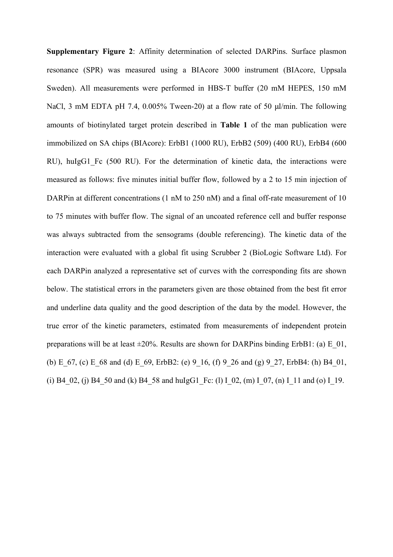**Supplementary Figure 2**: Affinity determination of selected DARPins. Surface plasmon resonance (SPR) was measured using a BIAcore 3000 instrument (BIAcore, Uppsala Sweden). All measurements were performed in HBS-T buffer (20 mM HEPES, 150 mM NaCl, 3 mM EDTA pH 7.4, 0.005% Tween-20) at a flow rate of 50 μl/min. The following amounts of biotinylated target protein described in **Table 1** of the man publication were immobilized on SA chips (BIAcore): ErbB1 (1000 RU), ErbB2 (509) (400 RU), ErbB4 (600 RU), huIgG1 Fc (500 RU). For the determination of kinetic data, the interactions were measured as follows: five minutes initial buffer flow, followed by a 2 to 15 min injection of DARPin at different concentrations (1 nM to 250 nM) and a final off-rate measurement of 10 to 75 minutes with buffer flow. The signal of an uncoated reference cell and buffer response was always subtracted from the sensograms (double referencing). The kinetic data of the interaction were evaluated with a global fit using Scrubber 2 (BioLogic Software Ltd). For each DARPin analyzed a representative set of curves with the corresponding fits are shown below. The statistical errors in the parameters given are those obtained from the best fit error and underline data quality and the good description of the data by the model. However, the true error of the kinetic parameters, estimated from measurements of independent protein preparations will be at least  $\pm 20\%$ . Results are shown for DARPins binding ErbB1: (a) E\_01, (b) E  $67$ , (c) E  $68$  and (d) E  $69$ , ErbB2: (e) 9 16, (f) 9 26 and (g) 9 27, ErbB4: (h) B4 01, (i) B4\_02, (j) B4\_50 and (k) B4\_58 and huIgG1\_Fc: (l) I\_02, (m) I\_07, (n) I\_11 and (o) I\_19.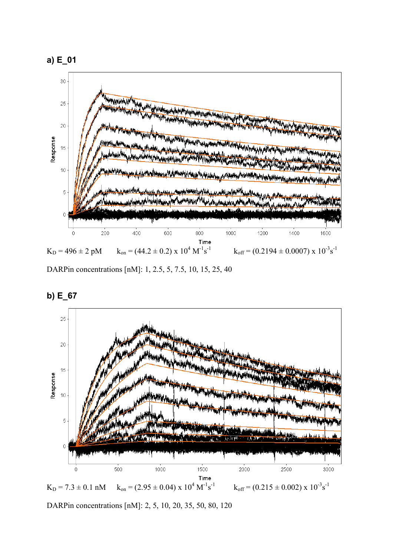

DARPin concentrations [nM]: 1, 2.5, 5, 7.5, 10, 15, 25, 40



**b) E\_67**

DARPin concentrations [nM]: 2, 5, 10, 20, 35, 50, 80, 120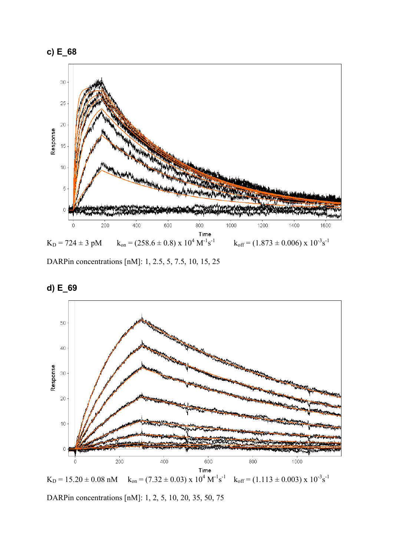



DARPin concentrations [nM]: 1, 2.5, 5, 7.5, 10, 15, 25



**d) E\_69**

DARPin concentrations [nM]: 1, 2, 5, 10, 20, 35, 50, 75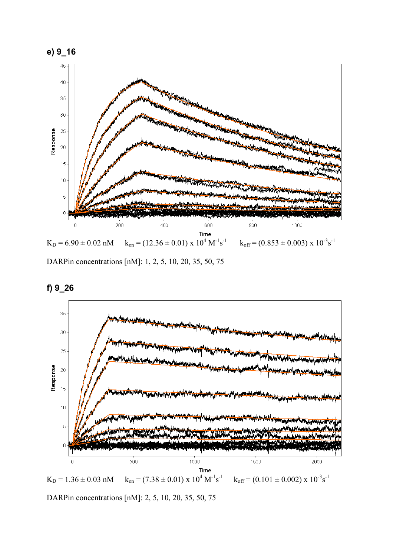



DARPin concentrations [nM]: 1, 2, 5, 10, 20, 35, 50, 75





DARPin concentrations [nM]: 2, 5, 10, 20, 35, 50, 75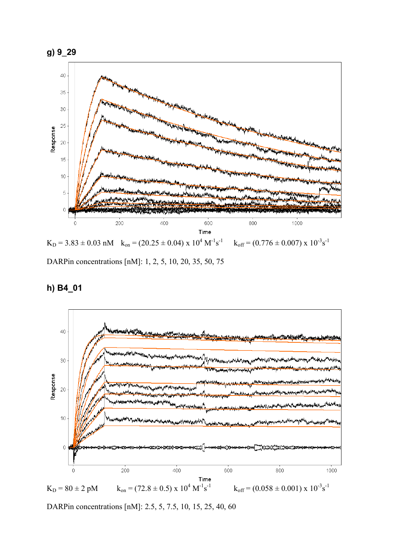

DARPin concentrations [nM]: 1, 2, 5, 10, 20, 35, 50, 75

# **h) B4\_01**



DARPin concentrations [nM]: 2.5, 5, 7.5, 10, 15, 25, 40, 60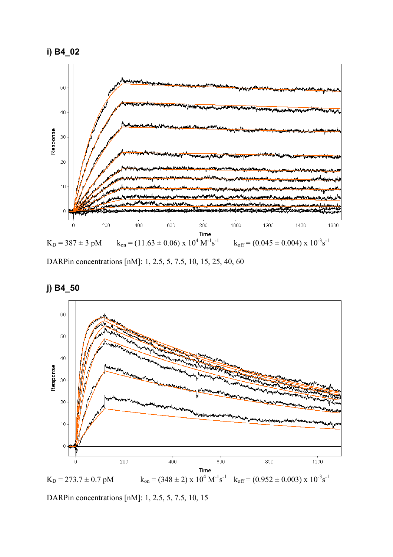



DARPin concentrations [nM]: 1, 2.5, 5, 7.5, 10, 15, 25, 40, 60





DARPin concentrations [nM]: 1, 2.5, 5, 7.5, 10, 15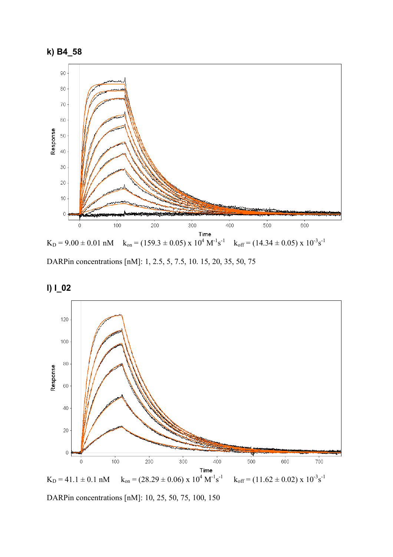



DARPin concentrations [nM]: 1, 2.5, 5, 7.5, 10. 15, 20, 35, 50, 75





DARPin concentrations [nM]: 10, 25, 50, 75, 100, 150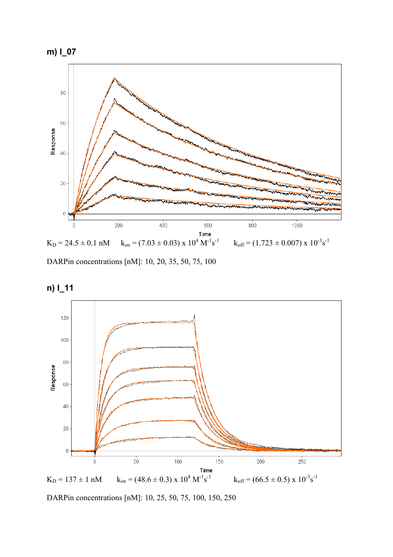



DARPin concentrations [nM]: 10, 20, 35, 50, 75, 100





DARPin concentrations [nM]: 10, 25, 50, 75, 100, 150, 250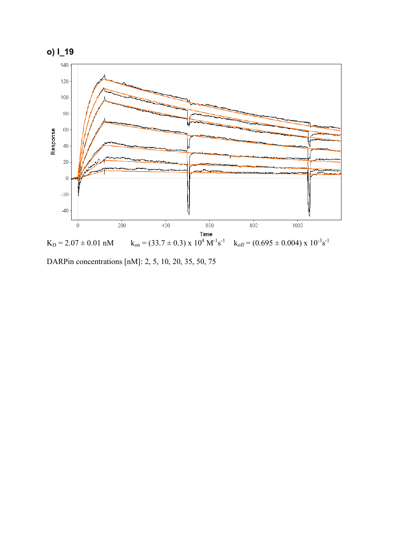

DARPin concentrations [nM]: 2, 5, 10, 20, 35, 50, 75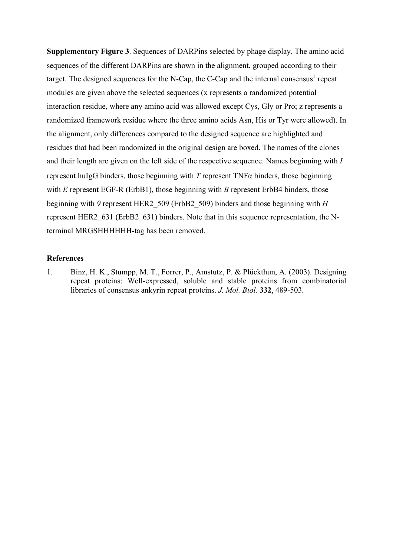**Supplementary Figure 3**. Sequences of DARPins selected by phage display. The amino acid sequences of the different DARPins are shown in the alignment, grouped according to their target. The designed sequences for the N-Cap, the C-Cap and the internal consensus<sup>1</sup> repeat modules are given above the selected sequences (x represents a randomized potential interaction residue, where any amino acid was allowed except Cys, Gly or Pro; z represents a randomized framework residue where the three amino acids Asn, His or Tyr were allowed). In the alignment, only differences compared to the designed sequence are highlighted and residues that had been randomized in the original design are boxed. The names of the clones and their length are given on the left side of the respective sequence. Names beginning with *I* represent huIgG binders, those beginning with *T* represent TNFα binders, those beginning with *E* represent EGF-R (ErbB1), those beginning with *B* represent ErbB4 binders, those beginning with *9* represent HER2\_509 (ErbB2\_509) binders and those beginning with *H* represent HER2\_631 (ErbB2\_631) binders. Note that in this sequence representation, the Nterminal MRGSHHHHHH-tag has been removed.

#### **References**

1. Binz, H. K., Stumpp, M. T., Forrer, P., Amstutz, P. & Plückthun, A. (2003). Designing repeat proteins: Well-expressed, soluble and stable proteins from combinatorial libraries of consensus ankyrin repeat proteins. *J. Mol. Biol.* **332**, 489-503.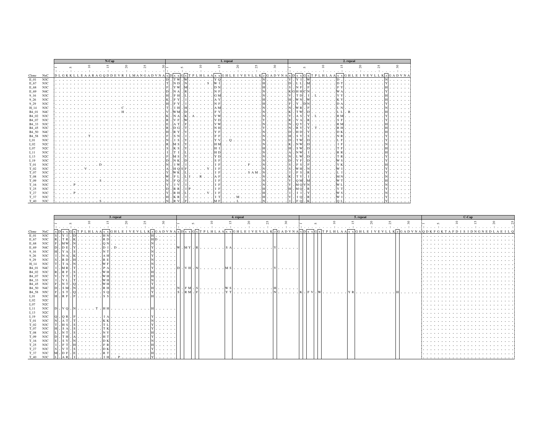|                   |     | N-Cap |  |  |    |                |  |    |  |           | 1. repeat                    |        |  |  |   |                |  |          |  |         |  |                      |    | 2. repeat |              |             |  |   |  |              |  |  |                      |  |
|-------------------|-----|-------|--|--|----|----------------|--|----|--|-----------|------------------------------|--------|--|--|---|----------------|--|----------|--|---------|--|----------------------|----|-----------|--------------|-------------|--|---|--|--------------|--|--|----------------------|--|
|                   |     |       |  |  | s. | $\overline{6}$ |  | 55 |  | $\approx$ |                              | $\sim$ |  |  |   | $\overline{c}$ |  | $\Omega$ |  | $^{25}$ |  | $\approx$            |    |           | $\mathbf{v}$ | $\subseteq$ |  | S |  | $\mathbb{R}$ |  |  | $\approx$            |  |
|                   |     |       |  |  |    |                |  |    |  |           | $\sim$ $\sim$                |        |  |  |   | .              |  |          |  |         |  | $\sim$ $\sim$ $\sim$ |    |           |              |             |  |   |  |              |  |  | $\sim$ $\sim$ $\sim$ |  |
| Clone             | NxC | DLGKK |  |  |    |                |  |    |  |           |                              |        |  |  |   |                |  |          |  |         |  |                      |    |           |              |             |  |   |  |              |  |  | KZGADVNA             |  |
| E 01              | N3C | .     |  |  |    |                |  |    |  |           | . IT W                       |        |  |  |   |                |  |          |  |         |  |                      |    | Y I       |              |             |  |   |  |              |  |  |                      |  |
| E 67              | N3C | i a l |  |  |    |                |  |    |  |           | $\overline{\phantom{a}}$ N D |        |  |  | s |                |  |          |  |         |  |                      | nl |           |              |             |  |   |  |              |  |  |                      |  |
| E 68              | N3C |       |  |  |    |                |  |    |  |           | . <b>YW</b>                  |        |  |  |   |                |  |          |  |         |  |                      |    |           |              |             |  |   |  |              |  |  |                      |  |
| E 69              | N4C |       |  |  |    |                |  |    |  |           | N A                          |        |  |  |   |                |  |          |  |         |  |                      |    | ін н      |              |             |  |   |  |              |  |  |                      |  |
| 9 16              | N3C |       |  |  |    |                |  |    |  |           | . F H                        |        |  |  |   |                |  |          |  |         |  |                      |    |           |              |             |  |   |  |              |  |  |                      |  |
| 9 2 6             | N3C |       |  |  |    |                |  |    |  |           |                              |        |  |  |   |                |  |          |  |         |  |                      |    |           |              |             |  |   |  |              |  |  |                      |  |
| 9.29              | N3C |       |  |  |    |                |  |    |  |           |                              |        |  |  |   |                |  |          |  |         |  |                      |    |           |              |             |  |   |  |              |  |  |                      |  |
| H 14              | N3C |       |  |  |    |                |  |    |  |           | H                            |        |  |  |   |                |  |          |  |         |  |                      |    |           |              |             |  |   |  |              |  |  |                      |  |
| B4 01             | N4C |       |  |  |    |                |  |    |  |           |                              |        |  |  |   |                |  |          |  |         |  |                      |    |           |              |             |  |   |  |              |  |  |                      |  |
| B <sub>4</sub> 02 | N3C |       |  |  |    |                |  |    |  |           |                              |        |  |  |   |                |  |          |  |         |  |                      |    |           |              |             |  |   |  |              |  |  |                      |  |
| B4 07             | N3C |       |  |  |    |                |  |    |  |           |                              |        |  |  |   |                |  |          |  |         |  |                      |    |           |              |             |  |   |  |              |  |  |                      |  |
| B <sub>4</sub> 33 | N3C |       |  |  |    |                |  |    |  |           |                              |        |  |  |   |                |  |          |  |         |  |                      |    |           |              |             |  |   |  |              |  |  |                      |  |
| B4 45             | N3C | .     |  |  |    |                |  |    |  |           | . In G                       |        |  |  |   |                |  |          |  |         |  |                      |    |           |              |             |  |   |  |              |  |  |                      |  |
| B4_50 N4C         |     |       |  |  |    |                |  |    |  |           | R                            |        |  |  |   |                |  |          |  |         |  |                      |    |           |              |             |  |   |  |              |  |  |                      |  |
| B <sub>4</sub> 58 | N5C |       |  |  |    |                |  |    |  |           | $\overline{\mathbf{s}}$      |        |  |  |   |                |  |          |  |         |  |                      |    | S Y       | I S          |             |  |   |  |              |  |  |                      |  |
| I 01              | N3C |       |  |  |    |                |  |    |  |           | I S                          |        |  |  |   |                |  |          |  |         |  |                      |    |           |              |             |  |   |  |              |  |  |                      |  |
| I 02              | N2C |       |  |  |    |                |  |    |  |           | . M S                        |        |  |  |   |                |  |          |  |         |  |                      |    |           |              |             |  |   |  |              |  |  |                      |  |
| I 07              | N2C |       |  |  |    |                |  |    |  |           | IK                           |        |  |  |   |                |  |          |  |         |  |                      |    | S W       |              |             |  |   |  |              |  |  |                      |  |
| 111               | N3C |       |  |  |    |                |  |    |  |           |                              |        |  |  |   |                |  |          |  |         |  |                      |    |           |              |             |  |   |  |              |  |  |                      |  |
| I <sub>13</sub>   | N2C |       |  |  |    |                |  |    |  |           | lм                           |        |  |  |   |                |  |          |  |         |  |                      |    |           |              |             |  |   |  |              |  |  |                      |  |
| I 19              | N3C |       |  |  |    |                |  |    |  |           |                              |        |  |  |   |                |  |          |  |         |  |                      |    |           |              |             |  |   |  |              |  |  |                      |  |
| T 01              | N3C |       |  |  |    |                |  |    |  |           |                              |        |  |  |   |                |  |          |  |         |  |                      |    |           |              |             |  |   |  |              |  |  |                      |  |
| T 02              | N3C |       |  |  |    |                |  |    |  |           | . Ін о                       |        |  |  |   |                |  |          |  |         |  |                      |    | W H       |              |             |  |   |  |              |  |  |                      |  |
| T 07              | N3C |       |  |  |    |                |  |    |  |           | W K                          |        |  |  |   |                |  |          |  |         |  |                      |    | F S       |              |             |  |   |  |              |  |  |                      |  |
| T 08              | N3C |       |  |  |    |                |  |    |  |           |                              |        |  |  |   |                |  |          |  |         |  |                      |    |           |              |             |  |   |  |              |  |  |                      |  |
| T 09              | N3C |       |  |  |    |                |  |    |  |           | $\Omega$                     |        |  |  |   |                |  |          |  |         |  |                      |    | O M       |              |             |  |   |  |              |  |  |                      |  |
| T 16              | N3C |       |  |  |    |                |  |    |  |           |                              |        |  |  |   |                |  |          |  |         |  |                      |    |           |              |             |  |   |  |              |  |  |                      |  |
| T 25              | N3C |       |  |  |    |                |  |    |  |           | . IR R                       |        |  |  |   |                |  |          |  |         |  |                      |    | M O       | IR.          |             |  |   |  |              |  |  |                      |  |
| T 27              | N3C |       |  |  |    |                |  |    |  |           | <b>RH</b>                    |        |  |  |   |                |  |          |  |         |  |                      |    |           |              |             |  |   |  |              |  |  |                      |  |
| T 37              | N3C |       |  |  |    |                |  |    |  |           | . KR                         |        |  |  |   |                |  |          |  |         |  |                      |    |           |              |             |  |   |  |              |  |  |                      |  |
| T 40              | N3C | . 5   |  |  |    |                |  |    |  |           | <sup>IR</sup>                |        |  |  |   |                |  |          |  |         |  |                      |    |           |              |             |  |   |  |              |  |  |                      |  |

|                                                 |     | 3. repeat |                               |  |  |  |  |  |  | 4. repeat |  |  |  |  |  |  |  |  |  | 5. repeat |  | $C$ -Can                                                                                                                                                                                                                       |  |  |  |   |  |
|-------------------------------------------------|-----|-----------|-------------------------------|--|--|--|--|--|--|-----------|--|--|--|--|--|--|--|--|--|-----------|--|--------------------------------------------------------------------------------------------------------------------------------------------------------------------------------------------------------------------------------|--|--|--|---|--|
|                                                 |     |           |                               |  |  |  |  |  |  |           |  |  |  |  |  |  |  |  |  |           |  |                                                                                                                                                                                                                                |  |  |  |   |  |
|                                                 |     |           |                               |  |  |  |  |  |  |           |  |  |  |  |  |  |  |  |  |           |  |                                                                                                                                                                                                                                |  |  |  |   |  |
| Clone<br>NxC                                    |     |           |                               |  |  |  |  |  |  |           |  |  |  |  |  |  |  |  |  |           |  | x Dx x G x T P L H L A A x x G H L E I V E V L K Z G A D V N A x D X x G x T P L H L A A x x G H L E I V E V L L K Z G A D V N A X D X X G K T A P L H L A A x x G H L E I V E V L L K Z G A D V N A Q D K F G K T A F D I S I |  |  |  |   |  |
| E 01                                            | N3C |           |                               |  |  |  |  |  |  |           |  |  |  |  |  |  |  |  |  |           |  |                                                                                                                                                                                                                                |  |  |  | . |  |
|                                                 | N3C |           | .   T R  .   K    R D    H  D |  |  |  |  |  |  |           |  |  |  |  |  |  |  |  |  |           |  |                                                                                                                                                                                                                                |  |  |  | . |  |
|                                                 |     |           |                               |  |  |  |  |  |  |           |  |  |  |  |  |  |  |  |  |           |  |                                                                                                                                                                                                                                |  |  |  |   |  |
|                                                 | N4C |           |                               |  |  |  |  |  |  |           |  |  |  |  |  |  |  |  |  |           |  |                                                                                                                                                                                                                                |  |  |  |   |  |
|                                                 |     |           |                               |  |  |  |  |  |  |           |  |  |  |  |  |  |  |  |  |           |  |                                                                                                                                                                                                                                |  |  |  |   |  |
|                                                 | N3C |           |                               |  |  |  |  |  |  |           |  |  |  |  |  |  |  |  |  |           |  |                                                                                                                                                                                                                                |  |  |  |   |  |
|                                                 | N3C |           |                               |  |  |  |  |  |  |           |  |  |  |  |  |  |  |  |  |           |  |                                                                                                                                                                                                                                |  |  |  |   |  |
| H 14 N3C                                        |     |           |                               |  |  |  |  |  |  |           |  |  |  |  |  |  |  |  |  |           |  |                                                                                                                                                                                                                                |  |  |  |   |  |
| B4 01 N4C<br>B <sub>4</sub> 02 N <sub>3</sub> C |     |           |                               |  |  |  |  |  |  |           |  |  |  |  |  |  |  |  |  |           |  |                                                                                                                                                                                                                                |  |  |  |   |  |
| B <sub>4</sub> 07 N <sub>3</sub> C              |     |           |                               |  |  |  |  |  |  |           |  |  |  |  |  |  |  |  |  |           |  |                                                                                                                                                                                                                                |  |  |  |   |  |
| B4 33 N3C                                       |     |           |                               |  |  |  |  |  |  |           |  |  |  |  |  |  |  |  |  |           |  |                                                                                                                                                                                                                                |  |  |  |   |  |
| B <sub>4</sub> 45 N <sub>3</sub> C              |     |           |                               |  |  |  |  |  |  |           |  |  |  |  |  |  |  |  |  |           |  |                                                                                                                                                                                                                                |  |  |  |   |  |
| B <sub>4</sub> 50 N <sub>4</sub> C              |     |           |                               |  |  |  |  |  |  |           |  |  |  |  |  |  |  |  |  |           |  |                                                                                                                                                                                                                                |  |  |  |   |  |
| B4 58 N5C                                       |     |           |                               |  |  |  |  |  |  |           |  |  |  |  |  |  |  |  |  |           |  |                                                                                                                                                                                                                                |  |  |  |   |  |
| I 01.                                           | N3C |           |                               |  |  |  |  |  |  |           |  |  |  |  |  |  |  |  |  |           |  |                                                                                                                                                                                                                                |  |  |  |   |  |
|                                                 | N2C |           |                               |  |  |  |  |  |  |           |  |  |  |  |  |  |  |  |  |           |  |                                                                                                                                                                                                                                |  |  |  |   |  |
|                                                 | N2C |           |                               |  |  |  |  |  |  |           |  |  |  |  |  |  |  |  |  |           |  |                                                                                                                                                                                                                                |  |  |  |   |  |
| 111                                             | N3C |           |                               |  |  |  |  |  |  |           |  |  |  |  |  |  |  |  |  |           |  |                                                                                                                                                                                                                                |  |  |  |   |  |
| 13.                                             | N2C |           |                               |  |  |  |  |  |  |           |  |  |  |  |  |  |  |  |  |           |  |                                                                                                                                                                                                                                |  |  |  |   |  |
|                                                 | N3C |           |                               |  |  |  |  |  |  |           |  |  |  |  |  |  |  |  |  |           |  |                                                                                                                                                                                                                                |  |  |  |   |  |
|                                                 |     |           | [A T] . [T] [K K] [N]         |  |  |  |  |  |  |           |  |  |  |  |  |  |  |  |  |           |  |                                                                                                                                                                                                                                |  |  |  |   |  |
|                                                 |     |           |                               |  |  |  |  |  |  |           |  |  |  |  |  |  |  |  |  |           |  |                                                                                                                                                                                                                                |  |  |  |   |  |
|                                                 |     |           |                               |  |  |  |  |  |  |           |  |  |  |  |  |  |  |  |  |           |  |                                                                                                                                                                                                                                |  |  |  |   |  |
|                                                 | N3C |           |                               |  |  |  |  |  |  |           |  |  |  |  |  |  |  |  |  |           |  |                                                                                                                                                                                                                                |  |  |  |   |  |
|                                                 | N3C |           |                               |  |  |  |  |  |  |           |  |  |  |  |  |  |  |  |  |           |  |                                                                                                                                                                                                                                |  |  |  |   |  |
| T 16                                            | N3C |           |                               |  |  |  |  |  |  |           |  |  |  |  |  |  |  |  |  |           |  |                                                                                                                                                                                                                                |  |  |  |   |  |
|                                                 |     |           |                               |  |  |  |  |  |  |           |  |  |  |  |  |  |  |  |  |           |  |                                                                                                                                                                                                                                |  |  |  |   |  |
|                                                 |     |           |                               |  |  |  |  |  |  |           |  |  |  |  |  |  |  |  |  |           |  |                                                                                                                                                                                                                                |  |  |  |   |  |
|                                                 |     |           |                               |  |  |  |  |  |  |           |  |  |  |  |  |  |  |  |  |           |  |                                                                                                                                                                                                                                |  |  |  |   |  |
| T 40 N3C                                        |     |           |                               |  |  |  |  |  |  |           |  |  |  |  |  |  |  |  |  |           |  |                                                                                                                                                                                                                                |  |  |  |   |  |